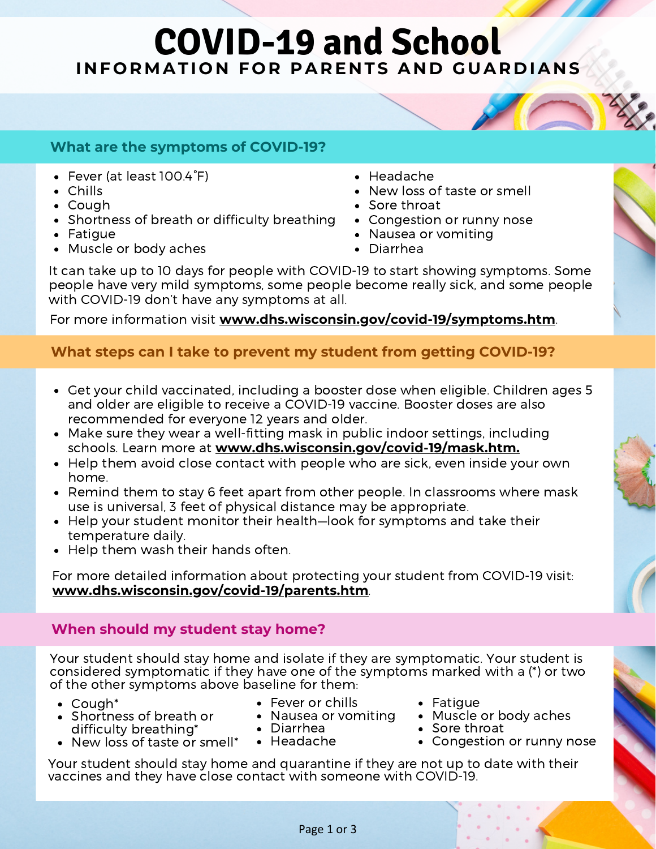# **COVID-19 and School INFORMATION FOR PARENTS AND GUARDIANS**

### **What are the symptoms of COVID-19?**

- Fever (at least 100.4°F)
- Chills
- Cough
- Shortness of breath or difficulty breathing
- Fatique
- Muscle or body aches
- Headache
- New loss of taste or smell
- Sore throat
- Congestion or runny nose
- Nausea or vomiting
- Diarrhea

It can take up to 10 days for people with COVID-19 to start showing symptoms. Some people have very mild symptoms, some people become really sick, and some people with COVID-19 don't have any symptoms at all.

For more information visit **[www.dhs.wisconsin.gov/covid-19/symptoms.htm](https://www.dhs.wisconsin.gov/covid-19/symptoms.htm)**.

# **What steps can I take to prevent my student from getting COVID-19?**

- Get your child vaccinated, including a booster dose when eligible. Children ages 5 and older are eligible to receive a COVID-19 vaccine. Booster doses are also recommended for everyone 12 years and older.
- Make sure they wear a well-fitting mask in public indoor settings, including schools. Learn more at **[www.dhs.wisconsin.gov/covid-19/mask.htm.](https://www.dhs.wisconsin.gov/covid-19/mask.htm)**
- Help them avoid close contact with people who are sick, even inside your own home.
- Remind them to stay 6 feet apart from other people. In classrooms where mask use is universal, 3 feet of physical distance may be [appropriate.](https://www.cdc.gov/coronavirus/2019-ncov/community/schools-childcare/operation-strategy.html#anchor_1616080143989)
- Help your student monitor their health—look for symptoms and take their temperature daily.
- Help them wash their hands often.

For more detailed information about protecting your student from COVID-19 visit: **[www.dhs.wisconsin.gov/covid-19/parents.htm](https://www.dhs.wisconsin.gov/covid-19/protect.htm)**.

# **When should my student stay home?**

Your student should stay home and isolate if they are symptomatic. Your student is considered symptomatic if they have one of the symptoms marked with a (\*) or two of the other symptoms above baseline for them:

- Cough\*
	- Shortness of breath or difficulty breathing\*
- Fever or chills
- Nausea or vomiting Diarrhea
	-
- New loss of taste or smell\*
- Headache
- Fatique
- Muscle or body aches
- Sore throat
- Congestion or runny nose

Your student should stay home and quarantine if they are not up to date with their vaccines and they have close contact with someone with COVID-19.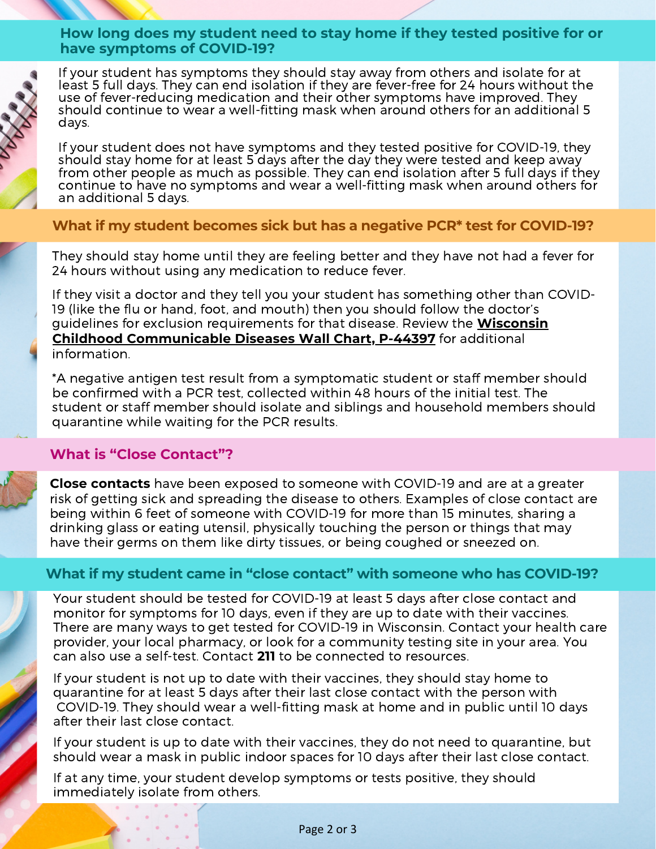#### **How long does my student need to stay home if they tested positive for or have symptoms of COVID-19?**



If your student has symptoms they should stay away from others and isolate for at least 5 full days. They can end isolation if they are fever-free for 24 hours without the use of fever-reducing medication and their other symptoms have improved. They should continue to wear a well-fitting mask when around others for an additional 5 days.

If your student does not have symptoms and they tested positive for COVID-19, they should stay home for at least 5 days after the day they were tested and keep away from other people as much as possible. They can end isolation after 5 full days if they continue to have no symptoms and wear a well-fitting mask when around others for an additional 5 days.

#### **What if my student becomes sick but has a negative PCR\* test for COVID-19?**

They should stay home until they are feeling better and they have not had a fever for 24 hours without using any medication to reduce fever.

If they visit a doctor and they tell you your student has something other than COVID-19 (like the flu or hand, foot, and mouth) then you should follow the doctor's guidelines for exclusion requirements for that disease. Review the **Wisconsin Childhood [Communicable](https://www.dhs.wisconsin.gov/publications/p4/p44397.pdf) Diseases Wall Chart, P-44397** for additional information.

\*A negative antigen test result from a symptomatic student or staff member should be confirmed with a PCR test, collected within 48 hours of the initial test. The student or staff member should isolate and siblings and household members should quarantine while waiting for the PCR results.

#### **What is "Close Contact"?**

**Close contacts** have been exposed to someone with COVID-19 and are at a greater risk of getting sick and spreading the disease to others. Examples of close contact are being within 6 feet of someone with COVID-19 for more than 15 minutes, sharing a drinking glass or eating utensil, physically touching the person or things that may have their germs on them like dirty tissues, or being coughed or sneezed on.

#### **What if my student came in "close contact" with someone who has COVID-19?**

Your student should be tested for COVID-19 at least 5 days after close contact and monitor for symptoms for 10 days, even if they are up to date with their vaccines. There are many ways to get tested for COVID-19 in Wisconsin. Contact your health care provider, your local pharmacy, or look for a community testing site in your area. You can also use a self-test. Contact **211** to be connected to resources.

If your student is not up to date with their vaccines, they should stay home to quarantine for at least 5 days after their last close contact with the person with COVID-19. They should wear a well-fitting mask at home and in public until 10 days after their last close contact.

If your student is up to date with their vaccines, they do not need to quarantine, but should wear a mask in public indoor spaces for 10 days after their last close contact.

If at any time, your student develop symptoms or tests positive, they should immediately isolate from others.